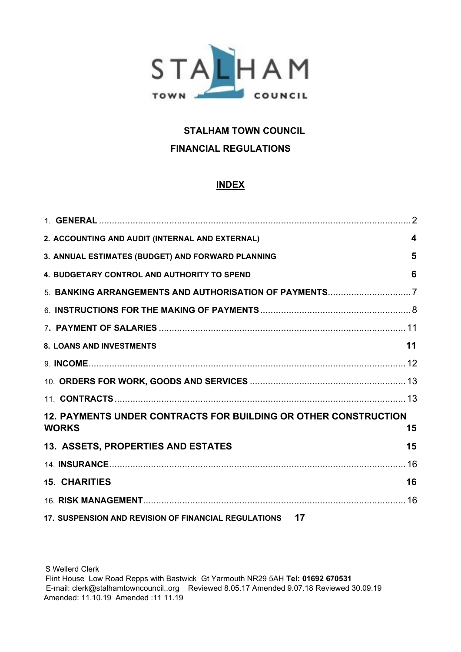

# **STALHAM TOWN COUNCIL FINANCIAL REGULATIONS**

# **INDEX**

| 2. ACCOUNTING AND AUDIT (INTERNAL AND EXTERNAL)                                        | $\overline{\mathbf{4}}$ |
|----------------------------------------------------------------------------------------|-------------------------|
| 3. ANNUAL ESTIMATES (BUDGET) AND FORWARD PLANNING                                      | 5                       |
| 4. BUDGETARY CONTROL AND AUTHORITY TO SPEND                                            | 6                       |
|                                                                                        |                         |
|                                                                                        |                         |
|                                                                                        |                         |
| <b>8. LOANS AND INVESTMENTS</b>                                                        | 11                      |
|                                                                                        |                         |
|                                                                                        |                         |
|                                                                                        |                         |
| <b>12. PAYMENTS UNDER CONTRACTS FOR BUILDING OR OTHER CONSTRUCTION</b><br><b>WORKS</b> | 15                      |
| 13. ASSETS, PROPERTIES AND ESTATES                                                     | 15                      |
|                                                                                        |                         |
| <b>15. CHARITIES</b>                                                                   | 16                      |
|                                                                                        |                         |
| 17. SUSPENSION AND REVISION OF FINANCIAL REGULATIONS 17                                |                         |

S Wellerd Clerk Flint House Low Road Repps with Bastwick Gt Yarmouth NR29 5AH **Tel: 01692 670531**  E-mail: clerk@stalhamtowncouncil..org Reviewed 8.05.17 Amended 9.07.18 Reviewed 30.09.19 Amended: 11.10.19 Amended :11 11.19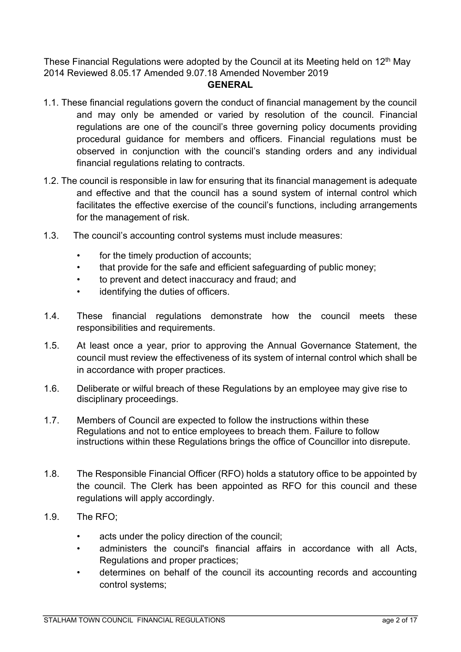These Financial Regulations were adopted by the Council at its Meeting held on  $12<sup>th</sup>$  May 2014 Reviewed 8.05.17 Amended 9.07.18 Amended November 2019

### **GENERAL**

- <span id="page-1-0"></span>1.1. These financial regulations govern the conduct of financial management by the council and may only be amended or varied by resolution of the council. Financial regulations are one of the council's three governing policy documents providing procedural guidance for members and officers. Financial regulations must be observed in conjunction with the council's standing orders and any individual financial regulations relating to contracts.
- 1.2. The council is responsible in law for ensuring that its financial management is adequate and effective and that the council has a sound system of internal control which facilitates the effective exercise of the council's functions, including arrangements for the management of risk.
- 1.3. The council's accounting control systems must include measures:
	- for the timely production of accounts;
	- that provide for the safe and efficient safeguarding of public money;
	- to prevent and detect inaccuracy and fraud; and
	- identifying the duties of officers.
- 1.4. These financial regulations demonstrate how the council meets these responsibilities and requirements.
- 1.5. At least once a year, prior to approving the Annual Governance Statement, the council must review the effectiveness of its system of internal control which shall be in accordance with proper practices.
- 1.6. Deliberate or wilful breach of these Regulations by an employee may give rise to disciplinary proceedings.
- 1.7. Members of Council are expected to follow the instructions within these Regulations and not to entice employees to breach them. Failure to follow instructions within these Regulations brings the office of Councillor into disrepute.
- 1.8. The Responsible Financial Officer (RFO) holds a statutory office to be appointed by the council. The Clerk has been appointed as RFO for this council and these regulations will apply accordingly.
- 1.9. The RFO;
	- acts under the policy direction of the council;
	- administers the council's financial affairs in accordance with all Acts, Regulations and proper practices;
	- determines on behalf of the council its accounting records and accounting control systems;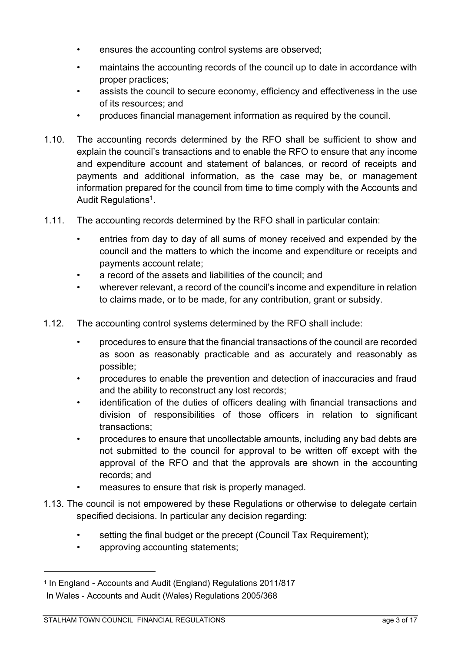- ensures the accounting control systems are observed;
- maintains the accounting records of the council up to date in accordance with proper practices;
- assists the council to secure economy, efficiency and effectiveness in the use of its resources; and
- produces financial management information as required by the council.
- 1.10. The accounting records determined by the RFO shall be sufficient to show and explain the council's transactions and to enable the RFO to ensure that any income and expenditure account and statement of balances, or record of receipts and payments and additional information, as the case may be, or management information prepared for the council from time to time comply with the Accounts and Audit Regulations<sup>1</sup>.
- 1.11. The accounting records determined by the RFO shall in particular contain:
	- entries from day to day of all sums of money received and expended by the council and the matters to which the income and expenditure or receipts and payments account relate;
	- a record of the assets and liabilities of the council; and
	- wherever relevant, a record of the council's income and expenditure in relation to claims made, or to be made, for any contribution, grant or subsidy.
- 1.12. The accounting control systems determined by the RFO shall include:
	- procedures to ensure that the financial transactions of the council are recorded as soon as reasonably practicable and as accurately and reasonably as possible;
	- procedures to enable the prevention and detection of inaccuracies and fraud and the ability to reconstruct any lost records;
	- identification of the duties of officers dealing with financial transactions and division of responsibilities of those officers in relation to significant transactions;
	- procedures to ensure that uncollectable amounts, including any bad debts are not submitted to the council for approval to be written off except with the approval of the RFO and that the approvals are shown in the accounting records; and
		- measures to ensure that risk is properly managed.
- 1.13. The council is not empowered by these Regulations or otherwise to delegate certain specified decisions. In particular any decision regarding:
	- setting the final budget or the precept (Council Tax Requirement);
	- approving accounting statements;

<sup>1</sup> In England - Accounts and Audit (England) Regulations 2011/817 In Wales - Accounts and Audit (Wales) Regulations 2005/368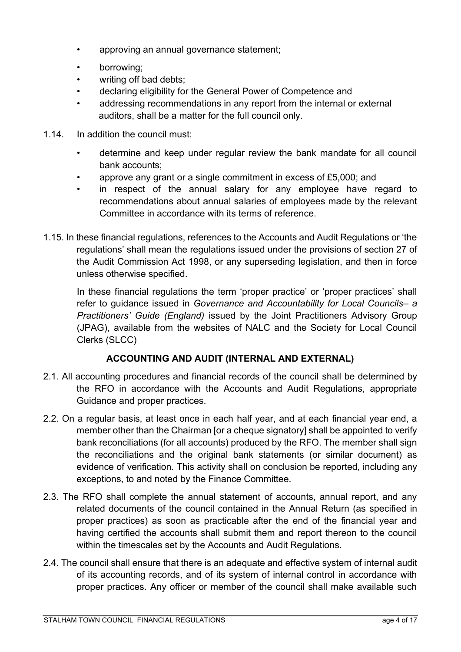- approving an annual governance statement;
- borrowing;
- writing off bad debts;
- declaring eligibility for the General Power of Competence and
- addressing recommendations in any report from the internal or external auditors, shall be a matter for the full council only.
- 1.14. In addition the council must:
	- determine and keep under regular review the bank mandate for all council bank accounts;
	- approve any grant or a single commitment in excess of £5,000; and
	- in respect of the annual salary for any employee have regard to recommendations about annual salaries of employees made by the relevant Committee in accordance with its terms of reference.
- 1.15. In these financial regulations, references to the Accounts and Audit Regulations or 'the regulations' shall mean the regulations issued under the provisions of section 27 of the Audit Commission Act 1998, or any superseding legislation, and then in force unless otherwise specified.

In these financial regulations the term 'proper practice' or 'proper practices' shall refer to guidance issued in *Governance and Accountability for Local Councils– a Practitioners' Guide (England)* issued by the Joint Practitioners Advisory Group (JPAG), available from the websites of NALC and the Society for Local Council Clerks (SLCC)

### **ACCOUNTING AND AUDIT (INTERNAL AND EXTERNAL)**

- <span id="page-3-0"></span>2.1. All accounting procedures and financial records of the council shall be determined by the RFO in accordance with the Accounts and Audit Regulations, appropriate Guidance and proper practices.
- 2.2. On a regular basis, at least once in each half year, and at each financial year end, a member other than the Chairman [or a cheque signatory] shall be appointed to verify bank reconciliations (for all accounts) produced by the RFO. The member shall sign the reconciliations and the original bank statements (or similar document) as evidence of verification. This activity shall on conclusion be reported, including any exceptions, to and noted by the Finance Committee.
- 2.3. The RFO shall complete the annual statement of accounts, annual report, and any related documents of the council contained in the Annual Return (as specified in proper practices) as soon as practicable after the end of the financial year and having certified the accounts shall submit them and report thereon to the council within the timescales set by the Accounts and Audit Regulations.
- 2.4. The council shall ensure that there is an adequate and effective system of internal audit of its accounting records, and of its system of internal control in accordance with proper practices. Any officer or member of the council shall make available such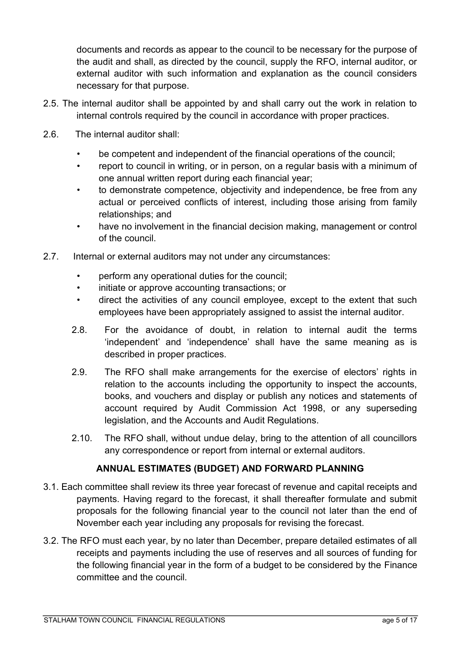documents and records as appear to the council to be necessary for the purpose of the audit and shall, as directed by the council, supply the RFO, internal auditor, or external auditor with such information and explanation as the council considers necessary for that purpose.

- 2.5. The internal auditor shall be appointed by and shall carry out the work in relation to internal controls required by the council in accordance with proper practices.
- 2.6. The internal auditor shall:
	- be competent and independent of the financial operations of the council;
	- report to council in writing, or in person, on a regular basis with a minimum of one annual written report during each financial year;
	- to demonstrate competence, objectivity and independence, be free from any actual or perceived conflicts of interest, including those arising from family relationships; and
	- have no involvement in the financial decision making, management or control of the council.
- 2.7. Internal or external auditors may not under any circumstances:
	- perform any operational duties for the council:
	- initiate or approve accounting transactions; or
	- direct the activities of any council employee, except to the extent that such employees have been appropriately assigned to assist the internal auditor.
	- 2.8. For the avoidance of doubt, in relation to internal audit the terms 'independent' and 'independence' shall have the same meaning as is described in proper practices.
	- 2.9. The RFO shall make arrangements for the exercise of electors' rights in relation to the accounts including the opportunity to inspect the accounts, books, and vouchers and display or publish any notices and statements of account required by Audit Commission Act 1998, or any superseding legislation, and the Accounts and Audit Regulations.
	- 2.10. The RFO shall, without undue delay, bring to the attention of all councillors any correspondence or report from internal or external auditors.

# **ANNUAL ESTIMATES (BUDGET) AND FORWARD PLANNING**

- <span id="page-4-0"></span>3.1. Each committee shall review its three year forecast of revenue and capital receipts and payments. Having regard to the forecast, it shall thereafter formulate and submit proposals for the following financial year to the council not later than the end of November each year including any proposals for revising the forecast.
- 3.2. The RFO must each year, by no later than December, prepare detailed estimates of all receipts and payments including the use of reserves and all sources of funding for the following financial year in the form of a budget to be considered by the Finance committee and the council.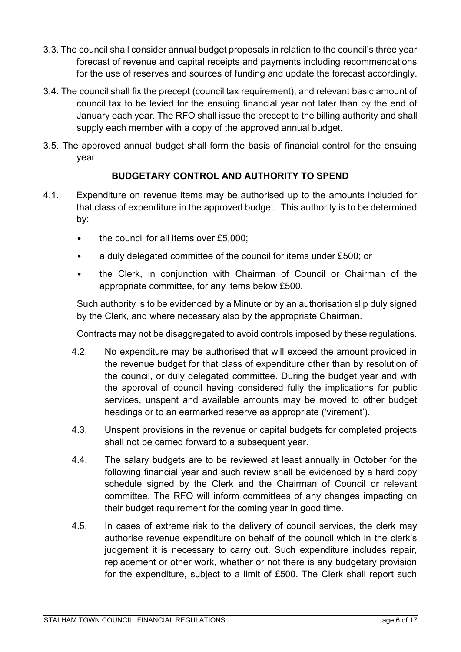- 3.3. The council shall consider annual budget proposals in relation to the council's three year forecast of revenue and capital receipts and payments including recommendations for the use of reserves and sources of funding and update the forecast accordingly.
- 3.4. The council shall fix the precept (council tax requirement), and relevant basic amount of council tax to be levied for the ensuing financial year not later than by the end of January each year. The RFO shall issue the precept to the billing authority and shall supply each member with a copy of the approved annual budget.
- 3.5. The approved annual budget shall form the basis of financial control for the ensuing year.

# **BUDGETARY CONTROL AND AUTHORITY TO SPEND**

- <span id="page-5-0"></span>4.1. Expenditure on revenue items may be authorised up to the amounts included for that class of expenditure in the approved budget. This authority is to be determined by:
	- the council for all items over £5,000;
	- a duly delegated committee of the council for items under £500; or
	- the Clerk, in conjunction with Chairman of Council or Chairman of the appropriate committee, for any items below £500.

Such authority is to be evidenced by a Minute or by an authorisation slip duly signed by the Clerk, and where necessary also by the appropriate Chairman.

Contracts may not be disaggregated to avoid controls imposed by these regulations.

- 4.2. No expenditure may be authorised that will exceed the amount provided in the revenue budget for that class of expenditure other than by resolution of the council, or duly delegated committee. During the budget year and with the approval of council having considered fully the implications for public services, unspent and available amounts may be moved to other budget headings or to an earmarked reserve as appropriate ('virement').
- 4.3. Unspent provisions in the revenue or capital budgets for completed projects shall not be carried forward to a subsequent year.
- 4.4. The salary budgets are to be reviewed at least annually in October for the following financial year and such review shall be evidenced by a hard copy schedule signed by the Clerk and the Chairman of Council or relevant committee. The RFO will inform committees of any changes impacting on their budget requirement for the coming year in good time.
- 4.5. In cases of extreme risk to the delivery of council services, the clerk may authorise revenue expenditure on behalf of the council which in the clerk's judgement it is necessary to carry out. Such expenditure includes repair, replacement or other work, whether or not there is any budgetary provision for the expenditure, subject to a limit of £500. The Clerk shall report such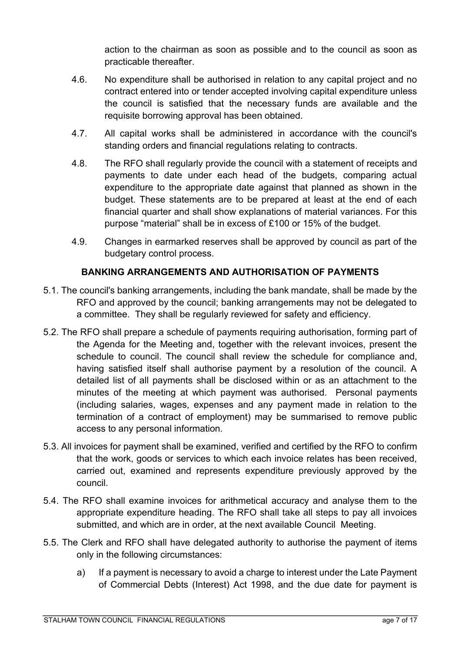action to the chairman as soon as possible and to the council as soon as practicable thereafter.

- 4.6. No expenditure shall be authorised in relation to any capital project and no contract entered into or tender accepted involving capital expenditure unless the council is satisfied that the necessary funds are available and the requisite borrowing approval has been obtained.
- 4.7. All capital works shall be administered in accordance with the council's standing orders and financial regulations relating to contracts.
- 4.8. The RFO shall regularly provide the council with a statement of receipts and payments to date under each head of the budgets, comparing actual expenditure to the appropriate date against that planned as shown in the budget. These statements are to be prepared at least at the end of each financial quarter and shall show explanations of material variances. For this purpose "material" shall be in excess of £100 or 15% of the budget.
- 4.9. Changes in earmarked reserves shall be approved by council as part of the budgetary control process.

# **BANKING ARRANGEMENTS AND AUTHORISATION OF PAYMENTS**

- <span id="page-6-0"></span>5.1. The council's banking arrangements, including the bank mandate, shall be made by the RFO and approved by the council; banking arrangements may not be delegated to a committee. They shall be regularly reviewed for safety and efficiency.
- 5.2. The RFO shall prepare a schedule of payments requiring authorisation, forming part of the Agenda for the Meeting and, together with the relevant invoices, present the schedule to council. The council shall review the schedule for compliance and, having satisfied itself shall authorise payment by a resolution of the council. A detailed list of all payments shall be disclosed within or as an attachment to the minutes of the meeting at which payment was authorised. Personal payments (including salaries, wages, expenses and any payment made in relation to the termination of a contract of employment) may be summarised to remove public access to any personal information.
- 5.3. All invoices for payment shall be examined, verified and certified by the RFO to confirm that the work, goods or services to which each invoice relates has been received, carried out, examined and represents expenditure previously approved by the council.
- 5.4. The RFO shall examine invoices for arithmetical accuracy and analyse them to the appropriate expenditure heading. The RFO shall take all steps to pay all invoices submitted, and which are in order, at the next available Council Meeting.
- 5.5. The Clerk and RFO shall have delegated authority to authorise the payment of items only in the following circumstances:
	- a) If a payment is necessary to avoid a charge to interest under the Late Payment of Commercial Debts (Interest) Act 1998, and the due date for payment is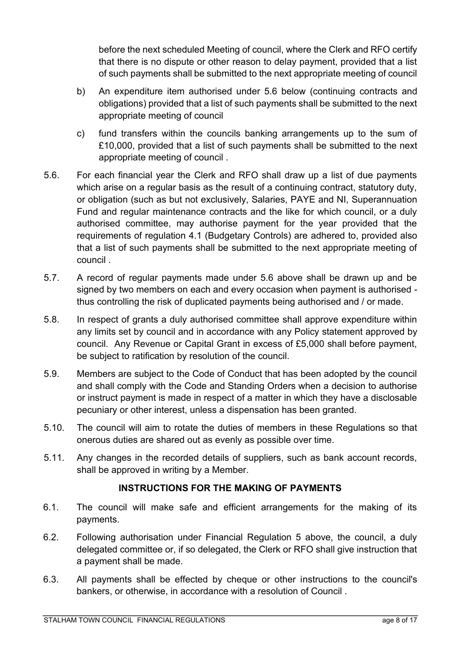before the next scheduled Meeting of council, where the Clerk and RFO certify that there is no dispute or other reason to delay payment, provided that a list of such payments shall be submitted to the next appropriate meeting of council

- b) An expenditure item authorised under 5.6 below (continuing contracts and obligations) provided that a list of such payments shall be submitted to the next appropriate meeting of council
- c) fund transfers within the councils banking arrangements up to the sum of £10,000, provided that a list of such payments shall be submitted to the next appropriate meeting of council .
- 5.6. For each financial year the Clerk and RFO shall draw up a list of due payments which arise on a regular basis as the result of a continuing contract, statutory duty, or obligation (such as but not exclusively, Salaries, PAYE and NI, Superannuation Fund and regular maintenance contracts and the like for which council, or a duly authorised committee, may authorise payment for the year provided that the requirements of regulation 4.1 (Budgetary Controls) are adhered to, provided also that a list of such payments shall be submitted to the next appropriate meeting of council .
- 5.7. A record of regular payments made under 5.6 above shall be drawn up and be signed by two members on each and every occasion when payment is authorised thus controlling the risk of duplicated payments being authorised and / or made.
- 5.8. In respect of grants a duly authorised committee shall approve expenditure within any limits set by council and in accordance with any Policy statement approved by council. Any Revenue or Capital Grant in excess of £5,000 shall before payment, be subject to ratification by resolution of the council.
- 5.9. Members are subject to the Code of Conduct that has been adopted by the council and shall comply with the Code and Standing Orders when a decision to authorise or instruct payment is made in respect of a matter in which they have a disclosable pecuniary or other interest, unless a dispensation has been granted.
- 5.10. The council will aim to rotate the duties of members in these Regulations so that onerous duties are shared out as evenly as possible over time.
- 5.11. Any changes in the recorded details of suppliers, such as bank account records, shall be approved in writing by a Member.

# **INSTRUCTIONS FOR THE MAKING OF PAYMENTS**

- <span id="page-7-0"></span>6.1. The council will make safe and efficient arrangements for the making of its payments.
- 6.2. Following authorisation under Financial Regulation 5 above, the council, a duly delegated committee or, if so delegated, the Clerk or RFO shall give instruction that a payment shall be made.
- 6.3. All payments shall be effected by cheque or other instructions to the council's bankers, or otherwise, in accordance with a resolution of Council .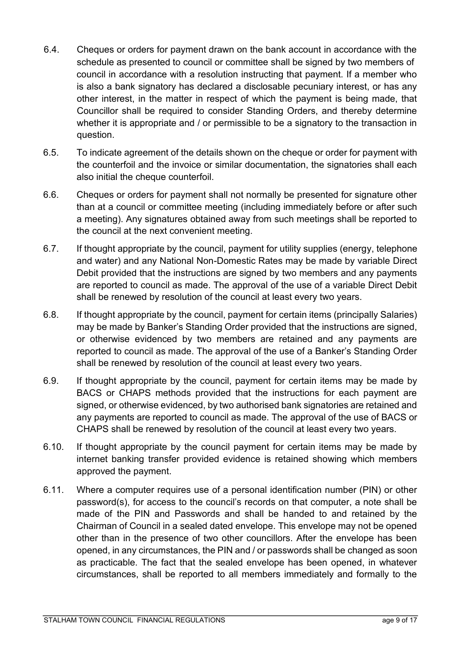- 6.4. Cheques or orders for payment drawn on the bank account in accordance with the schedule as presented to council or committee shall be signed by two members of council in accordance with a resolution instructing that payment. If a member who is also a bank signatory has declared a disclosable pecuniary interest, or has any other interest, in the matter in respect of which the payment is being made, that Councillor shall be required to consider Standing Orders, and thereby determine whether it is appropriate and / or permissible to be a signatory to the transaction in question.
- 6.5. To indicate agreement of the details shown on the cheque or order for payment with the counterfoil and the invoice or similar documentation, the signatories shall each also initial the cheque counterfoil.
- 6.6. Cheques or orders for payment shall not normally be presented for signature other than at a council or committee meeting (including immediately before or after such a meeting). Any signatures obtained away from such meetings shall be reported to the council at the next convenient meeting.
- 6.7. If thought appropriate by the council, payment for utility supplies (energy, telephone and water) and any National Non-Domestic Rates may be made by variable Direct Debit provided that the instructions are signed by two members and any payments are reported to council as made. The approval of the use of a variable Direct Debit shall be renewed by resolution of the council at least every two years.
- 6.8. If thought appropriate by the council, payment for certain items (principally Salaries) may be made by Banker's Standing Order provided that the instructions are signed, or otherwise evidenced by two members are retained and any payments are reported to council as made. The approval of the use of a Banker's Standing Order shall be renewed by resolution of the council at least every two years.
- 6.9. If thought appropriate by the council, payment for certain items may be made by BACS or CHAPS methods provided that the instructions for each payment are signed, or otherwise evidenced, by two authorised bank signatories are retained and any payments are reported to council as made. The approval of the use of BACS or CHAPS shall be renewed by resolution of the council at least every two years.
- 6.10. If thought appropriate by the council payment for certain items may be made by internet banking transfer provided evidence is retained showing which members approved the payment.
- 6.11. Where a computer requires use of a personal identification number (PIN) or other password(s), for access to the council's records on that computer, a note shall be made of the PIN and Passwords and shall be handed to and retained by the Chairman of Council in a sealed dated envelope. This envelope may not be opened other than in the presence of two other councillors. After the envelope has been opened, in any circumstances, the PIN and / or passwords shall be changed as soon as practicable. The fact that the sealed envelope has been opened, in whatever circumstances, shall be reported to all members immediately and formally to the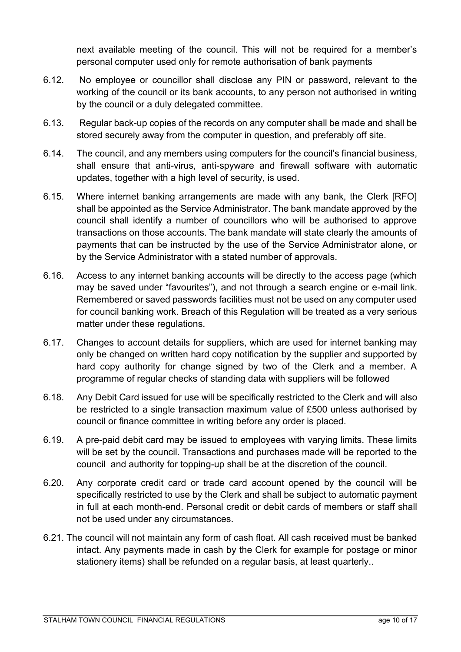next available meeting of the council. This will not be required for a member's personal computer used only for remote authorisation of bank payments

- 6.12. No employee or councillor shall disclose any PIN or password, relevant to the working of the council or its bank accounts, to any person not authorised in writing by the council or a duly delegated committee.
- 6.13. Regular back-up copies of the records on any computer shall be made and shall be stored securely away from the computer in question, and preferably off site.
- 6.14. The council, and any members using computers for the council's financial business, shall ensure that anti-virus, anti-spyware and firewall software with automatic updates, together with a high level of security, is used.
- 6.15. Where internet banking arrangements are made with any bank, the Clerk [RFO] shall be appointed as the Service Administrator. The bank mandate approved by the council shall identify a number of councillors who will be authorised to approve transactions on those accounts. The bank mandate will state clearly the amounts of payments that can be instructed by the use of the Service Administrator alone, or by the Service Administrator with a stated number of approvals.
- 6.16. Access to any internet banking accounts will be directly to the access page (which may be saved under "favourites"), and not through a search engine or e-mail link. Remembered or saved passwords facilities must not be used on any computer used for council banking work. Breach of this Regulation will be treated as a very serious matter under these regulations.
- 6.17. Changes to account details for suppliers, which are used for internet banking may only be changed on written hard copy notification by the supplier and supported by hard copy authority for change signed by two of the Clerk and a member. A programme of regular checks of standing data with suppliers will be followed
- 6.18. Any Debit Card issued for use will be specifically restricted to the Clerk and will also be restricted to a single transaction maximum value of £500 unless authorised by council or finance committee in writing before any order is placed.
- 6.19. A pre-paid debit card may be issued to employees with varying limits. These limits will be set by the council. Transactions and purchases made will be reported to the council and authority for topping-up shall be at the discretion of the council.
- 6.20. Any corporate credit card or trade card account opened by the council will be specifically restricted to use by the Clerk and shall be subject to automatic payment in full at each month-end. Personal credit or debit cards of members or staff shall not be used under any circumstances.
- 6.21. The council will not maintain any form of cash float. All cash received must be banked intact. Any payments made in cash by the Clerk for example for postage or minor stationery items) shall be refunded on a regular basis, at least quarterly..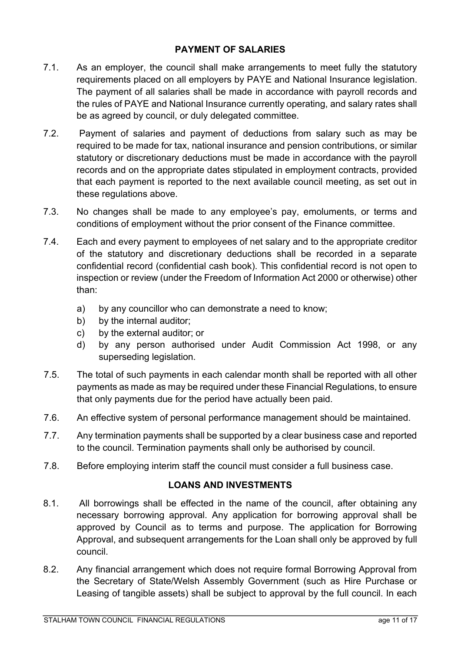### **PAYMENT OF SALARIES**

- <span id="page-10-0"></span>7.1. As an employer, the council shall make arrangements to meet fully the statutory requirements placed on all employers by PAYE and National Insurance legislation. The payment of all salaries shall be made in accordance with payroll records and the rules of PAYE and National Insurance currently operating, and salary rates shall be as agreed by council, or duly delegated committee.
- 7.2. Payment of salaries and payment of deductions from salary such as may be required to be made for tax, national insurance and pension contributions, or similar statutory or discretionary deductions must be made in accordance with the payroll records and on the appropriate dates stipulated in employment contracts, provided that each payment is reported to the next available council meeting, as set out in these regulations above.
- 7.3. No changes shall be made to any employee's pay, emoluments, or terms and conditions of employment without the prior consent of the Finance committee.
- 7.4. Each and every payment to employees of net salary and to the appropriate creditor of the statutory and discretionary deductions shall be recorded in a separate confidential record (confidential cash book). This confidential record is not open to inspection or review (under the Freedom of Information Act 2000 or otherwise) other than:
	- a) by any councillor who can demonstrate a need to know;
	- b) by the internal auditor;
	- c) by the external auditor; or
	- d) by any person authorised under Audit Commission Act 1998, or any superseding legislation.
- 7.5. The total of such payments in each calendar month shall be reported with all other payments as made as may be required under these Financial Regulations, to ensure that only payments due for the period have actually been paid.
- 7.6. An effective system of personal performance management should be maintained.
- 7.7. Any termination payments shall be supported by a clear business case and reported to the council. Termination payments shall only be authorised by council.
- 7.8. Before employing interim staff the council must consider a full business case.

### **LOANS AND INVESTMENTS**

- <span id="page-10-1"></span>8.1. All borrowings shall be effected in the name of the council, after obtaining any necessary borrowing approval. Any application for borrowing approval shall be approved by Council as to terms and purpose. The application for Borrowing Approval, and subsequent arrangements for the Loan shall only be approved by full council.
- 8.2. Any financial arrangement which does not require formal Borrowing Approval from the Secretary of State/Welsh Assembly Government (such as Hire Purchase or Leasing of tangible assets) shall be subject to approval by the full council. In each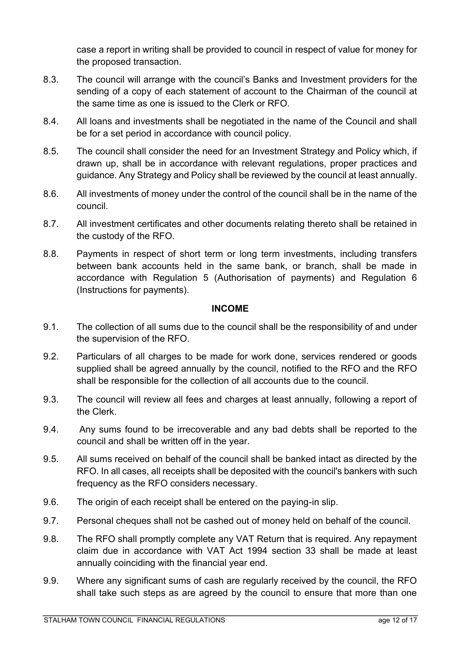case a report in writing shall be provided to council in respect of value for money for the proposed transaction.

- 8.3. The council will arrange with the council's Banks and Investment providers for the sending of a copy of each statement of account to the Chairman of the council at the same time as one is issued to the Clerk or RFO.
- 8.4. All loans and investments shall be negotiated in the name of the Council and shall be for a set period in accordance with council policy.
- 8.5. The council shall consider the need for an Investment Strategy and Policy which, if drawn up, shall be in accordance with relevant regulations, proper practices and guidance. Any Strategy and Policy shall be reviewed by the council at least annually.
- 8.6. All investments of money under the control of the council shall be in the name of the council.
- 8.7. All investment certificates and other documents relating thereto shall be retained in the custody of the RFO.
- 8.8. Payments in respect of short term or long term investments, including transfers between bank accounts held in the same bank, or branch, shall be made in accordance with Regulation 5 (Authorisation of payments) and Regulation 6 (Instructions for payments).

#### **INCOME**

- <span id="page-11-0"></span>9.1. The collection of all sums due to the council shall be the responsibility of and under the supervision of the RFO.
- 9.2. Particulars of all charges to be made for work done, services rendered or goods supplied shall be agreed annually by the council, notified to the RFO and the RFO shall be responsible for the collection of all accounts due to the council.
- 9.3. The council will review all fees and charges at least annually, following a report of the Clerk.
- 9.4. Any sums found to be irrecoverable and any bad debts shall be reported to the council and shall be written off in the year.
- 9.5. All sums received on behalf of the council shall be banked intact as directed by the RFO. In all cases, all receipts shall be deposited with the council's bankers with such frequency as the RFO considers necessary.
- 9.6. The origin of each receipt shall be entered on the paying-in slip.
- 9.7. Personal cheques shall not be cashed out of money held on behalf of the council.
- 9.8. The RFO shall promptly complete any VAT Return that is required. Any repayment claim due in accordance with VAT Act 1994 section 33 shall be made at least annually coinciding with the financial year end.
- 9.9. Where any significant sums of cash are regularly received by the council, the RFO shall take such steps as are agreed by the council to ensure that more than one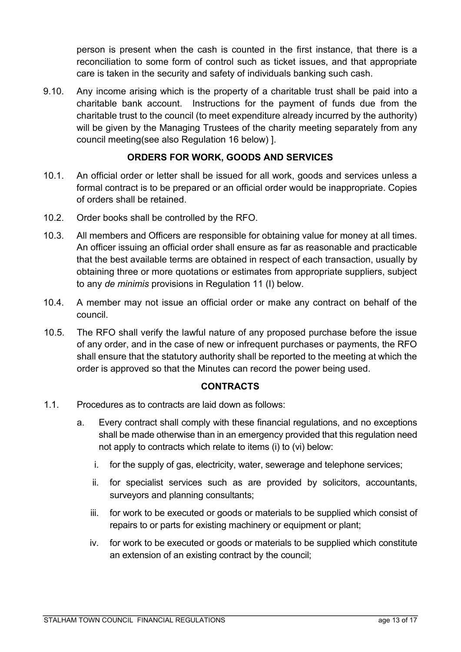person is present when the cash is counted in the first instance, that there is a reconciliation to some form of control such as ticket issues, and that appropriate care is taken in the security and safety of individuals banking such cash.

9.10. Any income arising which is the property of a charitable trust shall be paid into a charitable bank account. Instructions for the payment of funds due from the charitable trust to the council (to meet expenditure already incurred by the authority) will be given by the Managing Trustees of the charity meeting separately from any council meeting(see also Regulation 16 below) ].

# **ORDERS FOR WORK, GOODS AND SERVICES**

- <span id="page-12-0"></span>10.1. An official order or letter shall be issued for all work, goods and services unless a formal contract is to be prepared or an official order would be inappropriate. Copies of orders shall be retained.
- 10.2. Order books shall be controlled by the RFO.
- 10.3. All members and Officers are responsible for obtaining value for money at all times. An officer issuing an official order shall ensure as far as reasonable and practicable that the best available terms are obtained in respect of each transaction, usually by obtaining three or more quotations or estimates from appropriate suppliers, subject to any *de minimis* provisions in Regulation 11 (I) below.
- 10.4. A member may not issue an official order or make any contract on behalf of the council.
- 10.5. The RFO shall verify the lawful nature of any proposed purchase before the issue of any order, and in the case of new or infrequent purchases or payments, the RFO shall ensure that the statutory authority shall be reported to the meeting at which the order is approved so that the Minutes can record the power being used.

### **CONTRACTS**

- <span id="page-12-1"></span>1.1. Procedures as to contracts are laid down as follows:
	- a. Every contract shall comply with these financial regulations, and no exceptions shall be made otherwise than in an emergency provided that this regulation need not apply to contracts which relate to items (i) to (vi) below:
		- i. for the supply of gas, electricity, water, sewerage and telephone services;
		- ii. for specialist services such as are provided by solicitors, accountants, surveyors and planning consultants;
		- iii. for work to be executed or goods or materials to be supplied which consist of repairs to or parts for existing machinery or equipment or plant;
		- iv. for work to be executed or goods or materials to be supplied which constitute an extension of an existing contract by the council;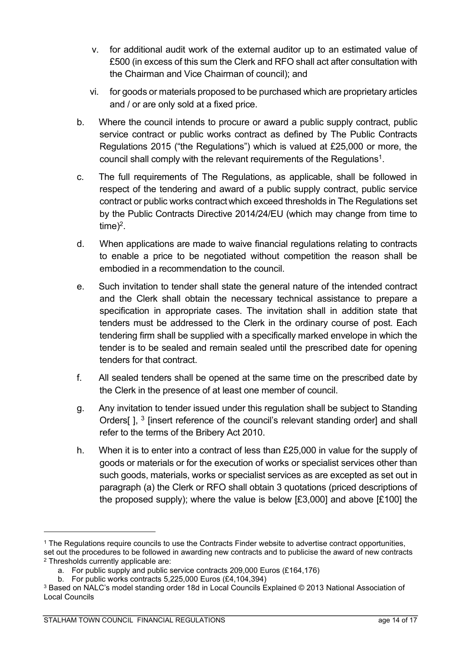- v. for additional audit work of the external auditor up to an estimated value of £500 (in excess of this sum the Clerk and RFO shall act after consultation with the Chairman and Vice Chairman of council); and
- vi. for goods or materials proposed to be purchased which are proprietary articles and / or are only sold at a fixed price.
- b. Where the council intends to procure or award a public supply contract, public service contract or public works contract as defined by The Public Contracts Regulations 2015 ("the Regulations") which is valued at £25,000 or more, the council shall comply with the relevant requirements of the Regulations<sup>1</sup>.
- c. The full requirements of The Regulations, as applicable, shall be followed in respect of the tendering and award of a public supply contract, public service contract or public works contract which exceed thresholds in The Regulations set by the Public Contracts Directive 2014/24/EU (which may change from time to  $time)^2$ .
- d. When applications are made to waive financial regulations relating to contracts to enable a price to be negotiated without competition the reason shall be embodied in a recommendation to the council.
- e. Such invitation to tender shall state the general nature of the intended contract and the Clerk shall obtain the necessary technical assistance to prepare a specification in appropriate cases. The invitation shall in addition state that tenders must be addressed to the Clerk in the ordinary course of post. Each tendering firm shall be supplied with a specifically marked envelope in which the tender is to be sealed and remain sealed until the prescribed date for opening tenders for that contract.
- f. All sealed tenders shall be opened at the same time on the prescribed date by the Clerk in the presence of at least one member of council.
- g. Any invitation to tender issued under this regulation shall be subject to Standing Orders[], <sup>3</sup> [insert reference of the council's relevant standing order] and shall refer to the terms of the Bribery Act 2010.
- h. When it is to enter into a contract of less than £25,000 in value for the supply of goods or materials or for the execution of works or specialist services other than such goods, materials, works or specialist services as are excepted as set out in paragraph (a) the Clerk or RFO shall obtain 3 quotations (priced descriptions of the proposed supply); where the value is below [£3,000] and above [£100] the

<sup>1</sup> The Regulations require councils to use the Contracts Finder website to advertise contract opportunities, set out the procedures to be followed in awarding new contracts and to publicise the award of new contracts <sup>2</sup> Thresholds currently applicable are:

a. For public supply and public service contracts 209,000 Euros (£164,176)

b. For public works contracts 5,225,000 Euros (£4,104,394)

<sup>3</sup> Based on NALC's model standing order 18d in Local Councils Explained © 2013 National Association of Local Councils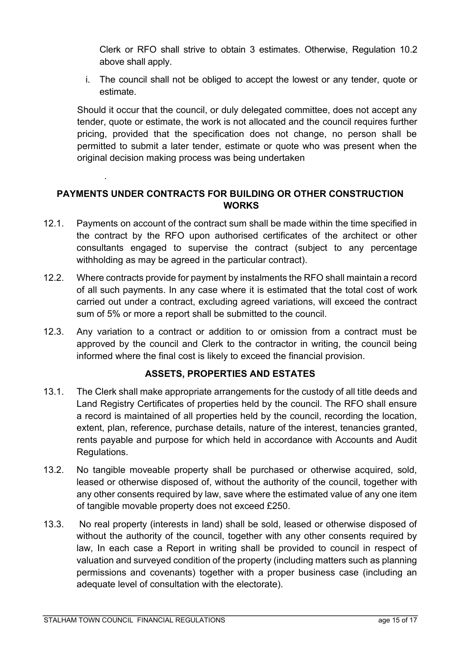Clerk or RFO shall strive to obtain 3 estimates. Otherwise, Regulation 10.2 above shall apply.

i. The council shall not be obliged to accept the lowest or any tender, quote or estimate.

Should it occur that the council, or duly delegated committee, does not accept any tender, quote or estimate, the work is not allocated and the council requires further pricing, provided that the specification does not change, no person shall be permitted to submit a later tender, estimate or quote who was present when the original decision making process was being undertaken

# <span id="page-14-0"></span>**PAYMENTS UNDER CONTRACTS FOR BUILDING OR OTHER CONSTRUCTION WORKS**

- 12.1. Payments on account of the contract sum shall be made within the time specified in the contract by the RFO upon authorised certificates of the architect or other consultants engaged to supervise the contract (subject to any percentage withholding as may be agreed in the particular contract).
- 12.2. Where contracts provide for payment by instalments the RFO shall maintain a record of all such payments. In any case where it is estimated that the total cost of work carried out under a contract, excluding agreed variations, will exceed the contract sum of 5% or more a report shall be submitted to the council.
- 12.3. Any variation to a contract or addition to or omission from a contract must be approved by the council and Clerk to the contractor in writing, the council being informed where the final cost is likely to exceed the financial provision.

# **ASSETS, PROPERTIES AND ESTATES**

- <span id="page-14-1"></span>13.1. The Clerk shall make appropriate arrangements for the custody of all title deeds and Land Registry Certificates of properties held by the council. The RFO shall ensure a record is maintained of all properties held by the council, recording the location, extent, plan, reference, purchase details, nature of the interest, tenancies granted, rents payable and purpose for which held in accordance with Accounts and Audit Regulations.
- 13.2. No tangible moveable property shall be purchased or otherwise acquired, sold, leased or otherwise disposed of, without the authority of the council, together with any other consents required by law, save where the estimated value of any one item of tangible movable property does not exceed £250.
- 13.3. No real property (interests in land) shall be sold, leased or otherwise disposed of without the authority of the council, together with any other consents required by law, In each case a Report in writing shall be provided to council in respect of valuation and surveyed condition of the property (including matters such as planning permissions and covenants) together with a proper business case (including an adequate level of consultation with the electorate).

.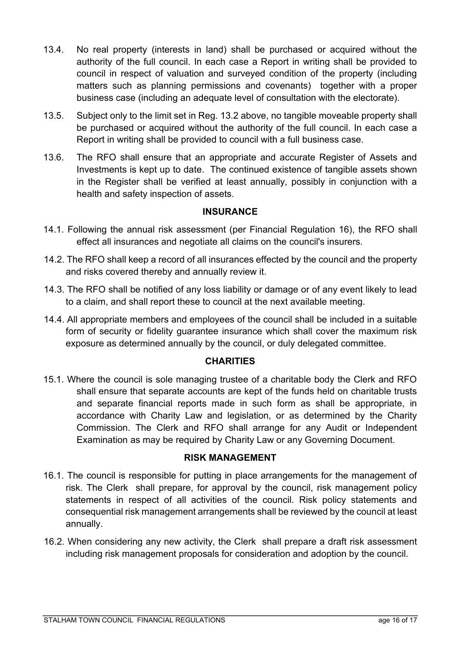- 13.4. No real property (interests in land) shall be purchased or acquired without the authority of the full council. In each case a Report in writing shall be provided to council in respect of valuation and surveyed condition of the property (including matters such as planning permissions and covenants) together with a proper business case (including an adequate level of consultation with the electorate).
- 13.5. Subject only to the limit set in Reg. 13.2 above, no tangible moveable property shall be purchased or acquired without the authority of the full council. In each case a Report in writing shall be provided to council with a full business case.
- 13.6. The RFO shall ensure that an appropriate and accurate Register of Assets and Investments is kept up to date. The continued existence of tangible assets shown in the Register shall be verified at least annually, possibly in conjunction with a health and safety inspection of assets.

#### **INSURANCE**

- <span id="page-15-0"></span>14.1. Following the annual risk assessment (per Financial Regulation 16), the RFO shall effect all insurances and negotiate all claims on the council's insurers.
- 14.2. The RFO shall keep a record of all insurances effected by the council and the property and risks covered thereby and annually review it.
- 14.3. The RFO shall be notified of any loss liability or damage or of any event likely to lead to a claim, and shall report these to council at the next available meeting.
- 14.4. All appropriate members and employees of the council shall be included in a suitable form of security or fidelity guarantee insurance which shall cover the maximum risk exposure as determined annually by the council, or duly delegated committee.

### **CHARITIES**

<span id="page-15-1"></span>15.1. Where the council is sole managing trustee of a charitable body the Clerk and RFO shall ensure that separate accounts are kept of the funds held on charitable trusts and separate financial reports made in such form as shall be appropriate, in accordance with Charity Law and legislation, or as determined by the Charity Commission. The Clerk and RFO shall arrange for any Audit or Independent Examination as may be required by Charity Law or any Governing Document.

#### **RISK MANAGEMENT**

- <span id="page-15-2"></span>16.1. The council is responsible for putting in place arrangements for the management of risk. The Clerk shall prepare, for approval by the council, risk management policy statements in respect of all activities of the council. Risk policy statements and consequential risk management arrangements shall be reviewed by the council at least annually.
- 16.2. When considering any new activity, the Clerk shall prepare a draft risk assessment including risk management proposals for consideration and adoption by the council.